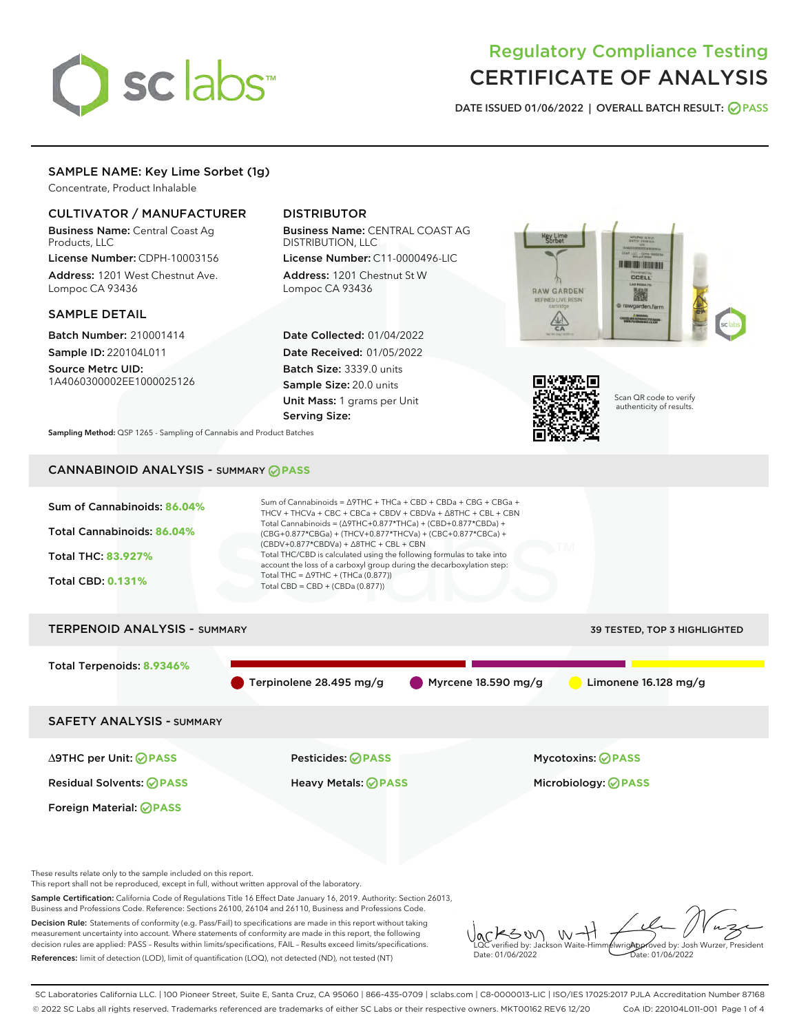

# Regulatory Compliance Testing CERTIFICATE OF ANALYSIS

DATE ISSUED 01/06/2022 | OVERALL BATCH RESULT: @ PASS

# SAMPLE NAME: Key Lime Sorbet (1g)

Concentrate, Product Inhalable

# CULTIVATOR / MANUFACTURER

Business Name: Central Coast Ag Products, LLC

License Number: CDPH-10003156 Address: 1201 West Chestnut Ave. Lompoc CA 93436

# SAMPLE DETAIL

Batch Number: 210001414 Sample ID: 220104L011

Source Metrc UID: 1A4060300002EE1000025126

# DISTRIBUTOR

Business Name: CENTRAL COAST AG DISTRIBUTION, LLC License Number: C11-0000496-LIC

Address: 1201 Chestnut St W Lompoc CA 93436

Date Collected: 01/04/2022 Date Received: 01/05/2022 Batch Size: 3339.0 units Sample Size: 20.0 units Unit Mass: 1 grams per Unit Serving Size:





Scan QR code to verify authenticity of results.

Sampling Method: QSP 1265 - Sampling of Cannabis and Product Batches

# CANNABINOID ANALYSIS - SUMMARY **PASS**



Sample Certification: California Code of Regulations Title 16 Effect Date January 16, 2019. Authority: Section 26013, Business and Professions Code. Reference: Sections 26100, 26104 and 26110, Business and Professions Code. Decision Rule: Statements of conformity (e.g. Pass/Fail) to specifications are made in this report without taking

measurement uncertainty into account. Where statements of conformity are made in this report, the following decision rules are applied: PASS – Results within limits/specifications, FAIL – Results exceed limits/specifications. References: limit of detection (LOD), limit of quantification (LOQ), not detected (ND), not tested (NT)

KSW  $W -$ Approved by: Josh Wurzer, President LQC verified by: Jackson Waite-Himmelwright Date: 01/06/2022 Date: 01/06/2022

SC Laboratories California LLC. | 100 Pioneer Street, Suite E, Santa Cruz, CA 95060 | 866-435-0709 | sclabs.com | C8-0000013-LIC | ISO/IES 17025:2017 PJLA Accreditation Number 87168 © 2022 SC Labs all rights reserved. Trademarks referenced are trademarks of either SC Labs or their respective owners. MKT00162 REV6 12/20 CoA ID: 220104L011-001 Page 1 of 4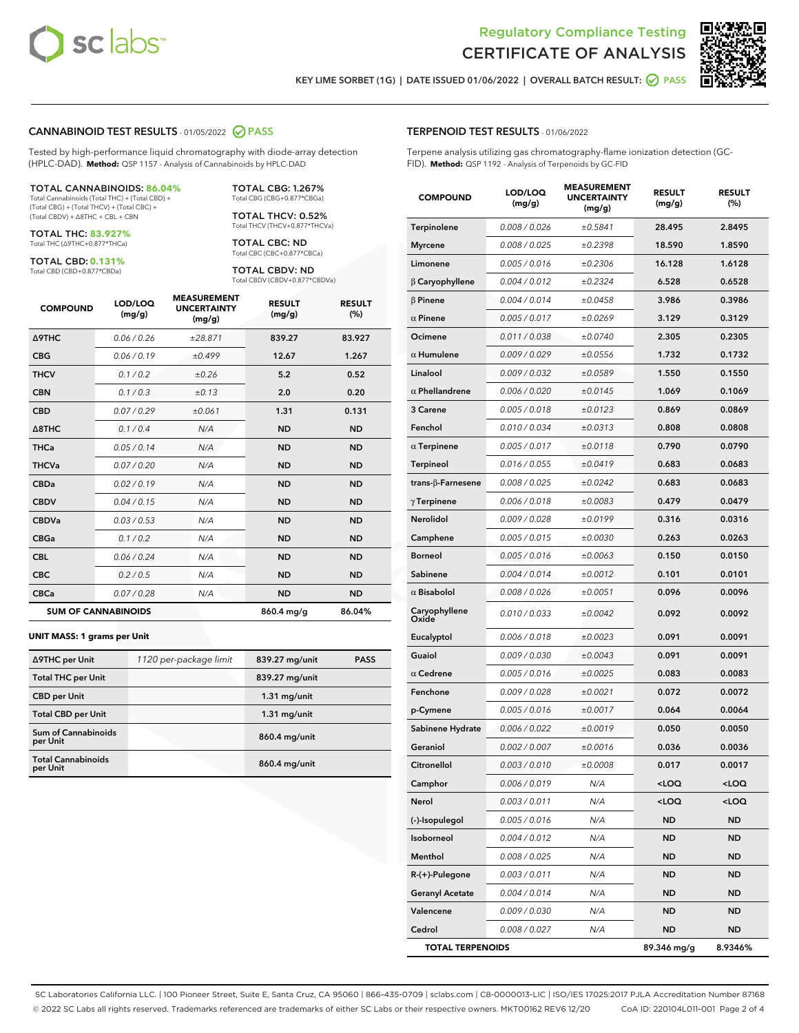



KEY LIME SORBET (1G) | DATE ISSUED 01/06/2022 | OVERALL BATCH RESULT: 2 PASS

#### CANNABINOID TEST RESULTS - 01/05/2022 2 PASS

Tested by high-performance liquid chromatography with diode-array detection (HPLC-DAD). **Method:** QSP 1157 - Analysis of Cannabinoids by HPLC-DAD

#### TOTAL CANNABINOIDS: **86.04%**

Total Cannabinoids (Total THC) + (Total CBD) + (Total CBG) + (Total THCV) + (Total CBC) + (Total CBDV) + ∆8THC + CBL + CBN

TOTAL THC: **83.927%** Total THC (∆9THC+0.877\*THCa)

TOTAL CBD: **0.131%**

Total CBD (CBD+0.877\*CBDa)

TOTAL CBG: 1.267% Total CBG (CBG+0.877\*CBGa)

TOTAL THCV: 0.52% Total THCV (THCV+0.877\*THCVa)

TOTAL CBC: ND Total CBC (CBC+0.877\*CBCa)

TOTAL CBDV: ND Total CBDV (CBDV+0.877\*CBDVa)

| <b>COMPOUND</b>            | LOD/LOQ<br>(mg/g) | <b>MEASUREMENT</b><br><b>UNCERTAINTY</b><br>(mg/g) | <b>RESULT</b><br>(mg/g) | <b>RESULT</b><br>(%) |
|----------------------------|-------------------|----------------------------------------------------|-------------------------|----------------------|
| <b>A9THC</b>               | 0.06/0.26         | ±28.871                                            | 839.27                  | 83.927               |
| <b>CBG</b>                 | 0.06/0.19         | ±0.499                                             | 12.67                   | 1.267                |
| <b>THCV</b>                | 0.1/0.2           | ±0.26                                              | 5.2                     | 0.52                 |
| <b>CBN</b>                 | 0.1/0.3           | ±0.13                                              | 2.0                     | 0.20                 |
| <b>CBD</b>                 | 0.07/0.29         | ±0.061                                             | 1.31                    | 0.131                |
| $\triangle$ 8THC           | 0.1 / 0.4         | N/A                                                | <b>ND</b>               | <b>ND</b>            |
| <b>THCa</b>                | 0.05/0.14         | N/A                                                | <b>ND</b>               | <b>ND</b>            |
| <b>THCVa</b>               | 0.07 / 0.20       | N/A                                                | <b>ND</b>               | <b>ND</b>            |
| <b>CBDa</b>                | 0.02/0.19         | N/A                                                | <b>ND</b>               | <b>ND</b>            |
| <b>CBDV</b>                | 0.04 / 0.15       | N/A                                                | <b>ND</b>               | <b>ND</b>            |
| <b>CBDVa</b>               | 0.03/0.53         | N/A                                                | <b>ND</b>               | <b>ND</b>            |
| <b>CBGa</b>                | 0.1/0.2           | N/A                                                | <b>ND</b>               | <b>ND</b>            |
| <b>CBL</b>                 | 0.06 / 0.24       | N/A                                                | <b>ND</b>               | <b>ND</b>            |
| <b>CBC</b>                 | 0.2 / 0.5         | N/A                                                | <b>ND</b>               | <b>ND</b>            |
| <b>CBCa</b>                | 0.07/0.28         | N/A                                                | <b>ND</b>               | <b>ND</b>            |
| <b>SUM OF CANNABINOIDS</b> |                   |                                                    | 860.4 mg/g              | 86.04%               |

#### **UNIT MASS: 1 grams per Unit**

| ∆9THC per Unit                        | 1120 per-package limit | 839.27 mg/unit | <b>PASS</b> |
|---------------------------------------|------------------------|----------------|-------------|
| <b>Total THC per Unit</b>             |                        | 839.27 mg/unit |             |
| <b>CBD per Unit</b>                   |                        | $1.31$ mg/unit |             |
| <b>Total CBD per Unit</b>             |                        | $1.31$ mg/unit |             |
| Sum of Cannabinoids<br>per Unit       |                        | 860.4 mg/unit  |             |
| <b>Total Cannabinoids</b><br>per Unit |                        | 860.4 mg/unit  |             |

#### TERPENOID TEST RESULTS - 01/06/2022

Terpene analysis utilizing gas chromatography-flame ionization detection (GC-FID). **Method:** QSP 1192 - Analysis of Terpenoids by GC-FID

| <b>COMPOUND</b>         | LOD/LOQ<br>(mg/g) | <b>MEASUREMENT</b><br><b>UNCERTAINTY</b><br>(mg/g) | <b>RESULT</b><br>(mg/g)         | <b>RESULT</b><br>(%) |
|-------------------------|-------------------|----------------------------------------------------|---------------------------------|----------------------|
| Terpinolene             | 0.008 / 0.026     | ±0.5841                                            | 28.495                          | 2.8495               |
| <b>Myrcene</b>          | 0.008 / 0.025     | ±0.2398                                            | 18.590                          | 1.8590               |
| Limonene                | 0.005 / 0.016     | ±0.2306                                            | 16.128                          | 1.6128               |
| $\beta$ Caryophyllene   | 0.004 / 0.012     | ±0.2324                                            | 6.528                           | 0.6528               |
| $\beta$ Pinene          | 0.004 / 0.014     | ±0.0458                                            | 3.986                           | 0.3986               |
| $\alpha$ Pinene         | 0.005 / 0.017     | ±0.0269                                            | 3.129                           | 0.3129               |
| Ocimene                 | 0.011 / 0.038     | ±0.0740                                            | 2.305                           | 0.2305               |
| $\alpha$ Humulene       | 0.009 / 0.029     | ±0.0556                                            | 1.732                           | 0.1732               |
| Linalool                | 0.009 / 0.032     | ±0.0589                                            | 1.550                           | 0.1550               |
| $\alpha$ Phellandrene   | 0.006 / 0.020     | ±0.0145                                            | 1.069                           | 0.1069               |
| 3 Carene                | 0.005 / 0.018     | ±0.0123                                            | 0.869                           | 0.0869               |
| Fenchol                 | 0.010 / 0.034     | ±0.0313                                            | 0.808                           | 0.0808               |
| $\alpha$ Terpinene      | 0.005 / 0.017     | ±0.0118                                            | 0.790                           | 0.0790               |
| <b>Terpineol</b>        | 0.016 / 0.055     | ±0.0419                                            | 0.683                           | 0.0683               |
| trans-β-Farnesene       | 0.008 / 0.025     | ±0.0242                                            | 0.683                           | 0.0683               |
| $\gamma$ Terpinene      | 0.006 / 0.018     | ±0.0083                                            | 0.479                           | 0.0479               |
| Nerolidol               | 0.009 / 0.028     | ±0.0199                                            | 0.316                           | 0.0316               |
| Camphene                | 0.005 / 0.015     | ±0.0030                                            | 0.263                           | 0.0263               |
| <b>Borneol</b>          | 0.005 / 0.016     | ±0.0063                                            | 0.150                           | 0.0150               |
| Sabinene                | 0.004 / 0.014     | ±0.0012                                            | 0.101                           | 0.0101               |
| $\alpha$ Bisabolol      | 0.008 / 0.026     | ±0.0051                                            | 0.096                           | 0.0096               |
| Caryophyllene<br>Oxide  | 0.010 / 0.033     | ±0.0042                                            | 0.092                           | 0.0092               |
| Eucalyptol              | 0.006 / 0.018     | ±0.0023                                            | 0.091                           | 0.0091               |
| Guaiol                  | 0.009 / 0.030     | ±0.0043                                            | 0.091                           | 0.0091               |
| $\alpha$ Cedrene        | 0.005 / 0.016     | ±0.0025                                            | 0.083                           | 0.0083               |
| Fenchone                | 0.009 / 0.028     | ±0.0021                                            | 0.072                           | 0.0072               |
| p-Cymene                | 0.005 / 0.016     | ±0.0017                                            | 0.064                           | 0.0064               |
| Sabinene Hydrate        | 0.006 / 0.022     | ±0.0019                                            | 0.050                           | 0.0050               |
| Geraniol                | 0.002 / 0.007     | ±0.0016                                            | 0.036                           | 0.0036               |
| Citronellol             | 0.003 / 0.010     | ±0.0008                                            | 0.017                           | 0.0017               |
| Camphor                 | 0.006 / 0.019     | N/A                                                | <loq< th=""><th>100</th></loq<> | 100                  |
| Nerol                   | 0.003 / 0.011     | N/A                                                | $<$ LOQ                         | <loq< th=""></loq<>  |
| (-)-Isopulegol          | 0.005 / 0.016     | N/A                                                | ND                              | ND                   |
| Isoborneol              | 0.004 / 0.012     | N/A                                                | ND                              | ND                   |
| Menthol                 | 0.008 / 0.025     | N/A                                                | ND                              | ND                   |
| R-(+)-Pulegone          | 0.003 / 0.011     | N/A                                                | ND                              | ND                   |
| <b>Geranyl Acetate</b>  | 0.004 / 0.014     | N/A                                                | ND                              | ND                   |
| Valencene               | 0.009 / 0.030     | N/A                                                | ND                              | ND                   |
| Cedrol                  | 0.008 / 0.027     | N/A                                                | ND                              | ND                   |
| <b>TOTAL TERPENOIDS</b> |                   |                                                    | 89.346 mg/g                     | 8.9346%              |

SC Laboratories California LLC. | 100 Pioneer Street, Suite E, Santa Cruz, CA 95060 | 866-435-0709 | sclabs.com | C8-0000013-LIC | ISO/IES 17025:2017 PJLA Accreditation Number 87168 © 2022 SC Labs all rights reserved. Trademarks referenced are trademarks of either SC Labs or their respective owners. MKT00162 REV6 12/20 CoA ID: 220104L011-001 Page 2 of 4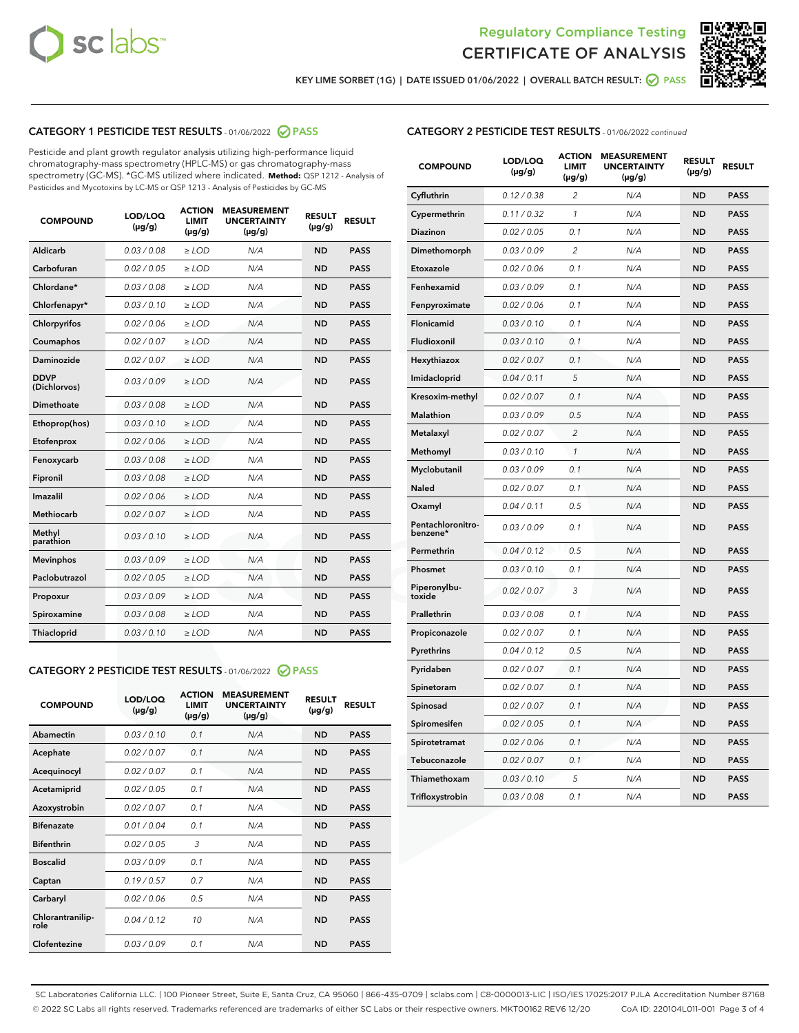



KEY LIME SORBET (1G) | DATE ISSUED 01/06/2022 | OVERALL BATCH RESULT: 2 PASS

# CATEGORY 1 PESTICIDE TEST RESULTS - 01/06/2022 2 PASS

Pesticide and plant growth regulator analysis utilizing high-performance liquid chromatography-mass spectrometry (HPLC-MS) or gas chromatography-mass spectrometry (GC-MS). \*GC-MS utilized where indicated. **Method:** QSP 1212 - Analysis of Pesticides and Mycotoxins by LC-MS or QSP 1213 - Analysis of Pesticides by GC-MS

| <b>COMPOUND</b>             | LOD/LOQ<br>$(\mu g/g)$ | <b>ACTION</b><br><b>LIMIT</b><br>$(\mu g/g)$ | <b>MEASUREMENT</b><br><b>UNCERTAINTY</b><br>$(\mu g/g)$ | <b>RESULT</b><br>$(\mu g/g)$ | <b>RESULT</b> |
|-----------------------------|------------------------|----------------------------------------------|---------------------------------------------------------|------------------------------|---------------|
| Aldicarb                    | 0.03/0.08              | $>$ LOD                                      | N/A                                                     | <b>ND</b>                    | <b>PASS</b>   |
| Carbofuran                  | 0.02 / 0.05            | $\ge$ LOD                                    | N/A                                                     | <b>ND</b>                    | <b>PASS</b>   |
| Chlordane*                  | 0.03 / 0.08            | $\ge$ LOD                                    | N/A                                                     | <b>ND</b>                    | <b>PASS</b>   |
| Chlorfenapyr*               | 0.03/0.10              | $\ge$ LOD                                    | N/A                                                     | <b>ND</b>                    | <b>PASS</b>   |
| Chlorpyrifos                | 0.02 / 0.06            | $\ge$ LOD                                    | N/A                                                     | <b>ND</b>                    | <b>PASS</b>   |
| Coumaphos                   | 0.02 / 0.07            | $\ge$ LOD                                    | N/A                                                     | <b>ND</b>                    | <b>PASS</b>   |
| Daminozide                  | 0.02/0.07              | $>$ LOD                                      | N/A                                                     | <b>ND</b>                    | <b>PASS</b>   |
| <b>DDVP</b><br>(Dichlorvos) | 0.03/0.09              | $\ge$ LOD                                    | N/A                                                     | <b>ND</b>                    | <b>PASS</b>   |
| <b>Dimethoate</b>           | 0.03 / 0.08            | $\ge$ LOD                                    | N/A                                                     | <b>ND</b>                    | <b>PASS</b>   |
| Ethoprop(hos)               | 0.03/0.10              | $\ge$ LOD                                    | N/A                                                     | <b>ND</b>                    | <b>PASS</b>   |
| Etofenprox                  | 0.02 / 0.06            | $\ge$ LOD                                    | N/A                                                     | <b>ND</b>                    | <b>PASS</b>   |
| Fenoxycarb                  | 0.03/0.08              | $\ge$ LOD                                    | N/A                                                     | <b>ND</b>                    | <b>PASS</b>   |
| Fipronil                    | 0.03 / 0.08            | $\ge$ LOD                                    | N/A                                                     | <b>ND</b>                    | <b>PASS</b>   |
| Imazalil                    | 0.02 / 0.06            | $\geq$ LOD                                   | N/A                                                     | <b>ND</b>                    | <b>PASS</b>   |
| Methiocarb                  | 0.02 / 0.07            | $>$ LOD                                      | N/A                                                     | <b>ND</b>                    | <b>PASS</b>   |
| Methyl<br>parathion         | 0.03/0.10              | $\ge$ LOD                                    | N/A                                                     | <b>ND</b>                    | <b>PASS</b>   |
| <b>Mevinphos</b>            | 0.03/0.09              | $\ge$ LOD                                    | N/A                                                     | <b>ND</b>                    | <b>PASS</b>   |
| Paclobutrazol               | 0.02 / 0.05            | $>$ LOD                                      | N/A                                                     | <b>ND</b>                    | <b>PASS</b>   |
| Propoxur                    | 0.03/0.09              | $\ge$ LOD                                    | N/A                                                     | <b>ND</b>                    | <b>PASS</b>   |
| Spiroxamine                 | 0.03 / 0.08            | $\ge$ LOD                                    | N/A                                                     | <b>ND</b>                    | <b>PASS</b>   |
| <b>Thiacloprid</b>          | 0.03/0.10              | $\ge$ LOD                                    | N/A                                                     | <b>ND</b>                    | <b>PASS</b>   |

# CATEGORY 2 PESTICIDE TEST RESULTS - 01/06/2022 @ PASS

| <b>COMPOUND</b>          | LOD/LOQ<br>$(\mu g/g)$ | <b>ACTION</b><br><b>LIMIT</b><br>$(\mu g/g)$ | <b>MEASUREMENT</b><br><b>UNCERTAINTY</b><br>$(\mu g/g)$ | <b>RESULT</b><br>$(\mu g/g)$ | <b>RESULT</b> |
|--------------------------|------------------------|----------------------------------------------|---------------------------------------------------------|------------------------------|---------------|
| Abamectin                | 0.03/0.10              | 0.1                                          | N/A                                                     | <b>ND</b>                    | <b>PASS</b>   |
| Acephate                 | 0.02/0.07              | 0.1                                          | N/A                                                     | <b>ND</b>                    | <b>PASS</b>   |
| Acequinocyl              | 0.02/0.07              | 0.1                                          | N/A                                                     | <b>ND</b>                    | <b>PASS</b>   |
| Acetamiprid              | 0.02/0.05              | 0.1                                          | N/A                                                     | <b>ND</b>                    | <b>PASS</b>   |
| Azoxystrobin             | 0.02/0.07              | 0.1                                          | N/A                                                     | <b>ND</b>                    | <b>PASS</b>   |
| <b>Bifenazate</b>        | 0.01/0.04              | 0.1                                          | N/A                                                     | <b>ND</b>                    | <b>PASS</b>   |
| <b>Bifenthrin</b>        | 0.02 / 0.05            | 3                                            | N/A                                                     | <b>ND</b>                    | <b>PASS</b>   |
| <b>Boscalid</b>          | 0.03/0.09              | 0.1                                          | N/A                                                     | <b>ND</b>                    | <b>PASS</b>   |
| Captan                   | 0.19/0.57              | 0.7                                          | N/A                                                     | <b>ND</b>                    | <b>PASS</b>   |
| Carbaryl                 | 0.02/0.06              | 0.5                                          | N/A                                                     | <b>ND</b>                    | <b>PASS</b>   |
| Chlorantranilip-<br>role | 0.04/0.12              | 10                                           | N/A                                                     | <b>ND</b>                    | <b>PASS</b>   |
| Clofentezine             | 0.03/0.09              | 0.1                                          | N/A                                                     | <b>ND</b>                    | <b>PASS</b>   |

| <b>CATEGORY 2 PESTICIDE TEST RESULTS</b> - 01/06/2022 continued |  |  |
|-----------------------------------------------------------------|--|--|
|                                                                 |  |  |

| <b>COMPOUND</b>               | LOD/LOQ<br>$(\mu g/g)$ | <b>ACTION</b><br><b>LIMIT</b><br>(µg/g) | <b>MEASUREMENT</b><br><b>UNCERTAINTY</b><br>(µg/g) | <b>RESULT</b><br>$(\mu g/g)$ | <b>RESULT</b> |
|-------------------------------|------------------------|-----------------------------------------|----------------------------------------------------|------------------------------|---------------|
| Cyfluthrin                    | 0.12 / 0.38            | $\overline{c}$                          | N/A                                                | <b>ND</b>                    | <b>PASS</b>   |
| Cypermethrin                  | 0.11 / 0.32            | 1                                       | N/A                                                | <b>ND</b>                    | <b>PASS</b>   |
| Diazinon                      | 0.02 / 0.05            | 0.1                                     | N/A                                                | <b>ND</b>                    | <b>PASS</b>   |
| Dimethomorph                  | 0.03 / 0.09            | $\overline{2}$                          | N/A                                                | <b>ND</b>                    | <b>PASS</b>   |
| Etoxazole                     | 0.02 / 0.06            | 0.1                                     | N/A                                                | <b>ND</b>                    | <b>PASS</b>   |
| Fenhexamid                    | 0.03 / 0.09            | 0.1                                     | N/A                                                | <b>ND</b>                    | <b>PASS</b>   |
| Fenpyroximate                 | 0.02 / 0.06            | 0.1                                     | N/A                                                | <b>ND</b>                    | <b>PASS</b>   |
| Flonicamid                    | 0.03 / 0.10            | 0.1                                     | N/A                                                | <b>ND</b>                    | <b>PASS</b>   |
| Fludioxonil                   | 0.03 / 0.10            | 0.1                                     | N/A                                                | <b>ND</b>                    | <b>PASS</b>   |
| Hexythiazox                   | 0.02 / 0.07            | 0.1                                     | N/A                                                | <b>ND</b>                    | <b>PASS</b>   |
| Imidacloprid                  | 0.04 / 0.11            | 5                                       | N/A                                                | <b>ND</b>                    | <b>PASS</b>   |
| Kresoxim-methyl               | 0.02 / 0.07            | 0.1                                     | N/A                                                | <b>ND</b>                    | <b>PASS</b>   |
| Malathion                     | 0.03 / 0.09            | 0.5                                     | N/A                                                | <b>ND</b>                    | <b>PASS</b>   |
| Metalaxyl                     | 0.02 / 0.07            | $\overline{c}$                          | N/A                                                | <b>ND</b>                    | <b>PASS</b>   |
| Methomyl                      | 0.03 / 0.10            | $\mathcal{I}$                           | N/A                                                | <b>ND</b>                    | <b>PASS</b>   |
| Myclobutanil                  | 0.03/0.09              | 0.1                                     | N/A                                                | <b>ND</b>                    | <b>PASS</b>   |
| Naled                         | 0.02 / 0.07            | 0.1                                     | N/A                                                | <b>ND</b>                    | <b>PASS</b>   |
| Oxamyl                        | 0.04 / 0.11            | 0.5                                     | N/A                                                | <b>ND</b>                    | <b>PASS</b>   |
| Pentachloronitro-<br>benzene* | 0.03 / 0.09            | 0.1                                     | N/A                                                | <b>ND</b>                    | <b>PASS</b>   |
| Permethrin                    | 0.04 / 0.12            | 0.5                                     | N/A                                                | <b>ND</b>                    | <b>PASS</b>   |
| Phosmet                       | 0.03 / 0.10            | 0.1                                     | N/A                                                | <b>ND</b>                    | <b>PASS</b>   |
| Piperonylbu-<br>toxide        | 0.02 / 0.07            | 3                                       | N/A                                                | <b>ND</b>                    | <b>PASS</b>   |
| Prallethrin                   | 0.03 / 0.08            | 0.1                                     | N/A                                                | <b>ND</b>                    | <b>PASS</b>   |
| Propiconazole                 | 0.02 / 0.07            | 0.1                                     | N/A                                                | <b>ND</b>                    | <b>PASS</b>   |
| Pyrethrins                    | 0.04 / 0.12            | 0.5                                     | N/A                                                | <b>ND</b>                    | <b>PASS</b>   |
| Pyridaben                     | 0.02 / 0.07            | 0.1                                     | N/A                                                | <b>ND</b>                    | <b>PASS</b>   |
| Spinetoram                    | 0.02 / 0.07            | 0.1                                     | N/A                                                | <b>ND</b>                    | <b>PASS</b>   |
| Spinosad                      | 0.02 / 0.07            | 0.1                                     | N/A                                                | <b>ND</b>                    | <b>PASS</b>   |
| Spiromesifen                  | 0.02 / 0.05            | 0.1                                     | N/A                                                | <b>ND</b>                    | <b>PASS</b>   |
| Spirotetramat                 | 0.02 / 0.06            | 0.1                                     | N/A                                                | ND                           | <b>PASS</b>   |
| Tebuconazole                  | 0.02 / 0.07            | 0.1                                     | N/A                                                | <b>ND</b>                    | <b>PASS</b>   |
| Thiamethoxam                  | 0.03 / 0.10            | 5                                       | N/A                                                | <b>ND</b>                    | <b>PASS</b>   |
| Trifloxystrobin               | 0.03 / 0.08            | 0.1                                     | N/A                                                | ND                           | <b>PASS</b>   |

SC Laboratories California LLC. | 100 Pioneer Street, Suite E, Santa Cruz, CA 95060 | 866-435-0709 | sclabs.com | C8-0000013-LIC | ISO/IES 17025:2017 PJLA Accreditation Number 87168 © 2022 SC Labs all rights reserved. Trademarks referenced are trademarks of either SC Labs or their respective owners. MKT00162 REV6 12/20 CoA ID: 220104L011-001 Page 3 of 4